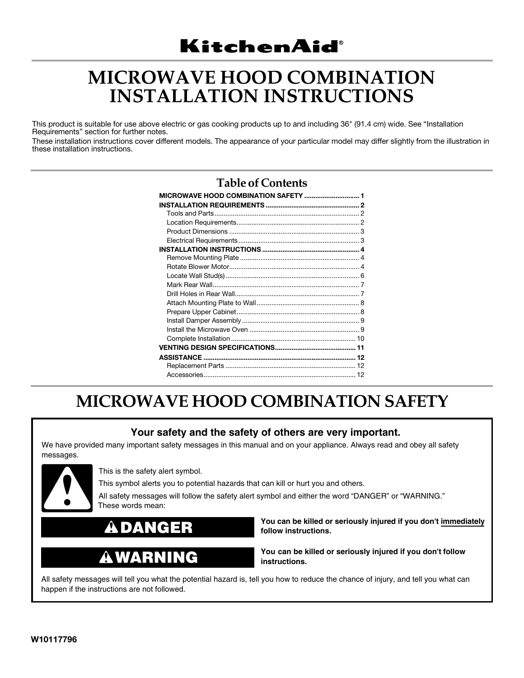# **MICROWAVE HOOD COMBINATION INSTALLATION INSTRUCTIONS**

This product is suitable for use above electric or gas cooking products up to and including 36" (91.4 cm) wide. See "Installation Requirements" section for further notes.

These installation instructions cover different models. The appearance of your particular model may differ slightly from the illustration in these installation instructions.

### **Table of Contents**

## **MICROWAVE HOOD COMBINATION SAFETY**

### **Your safety and the safety of others are very important.**

We have provided many important safety messages in this manual and on your appliance. Always read and obey all safety messages.



This is the safety alert symbol.

This symbol alerts you to potential hazards that can kill or hurt you and others.

All safety messages will follow the safety alert symbol and either the word "DANGER" or "WARNING." These words mean:

## **DANGER**

#### A **WARNING**

**You can be killed or seriously injured if you don't immediately follow instructions.**

**You can be killed or seriously injured if you don't follow instructions.**

All safety messages will tell you what the potential hazard is, tell you how to reduce the chance of injury, and tell you what can happen if the instructions are not followed.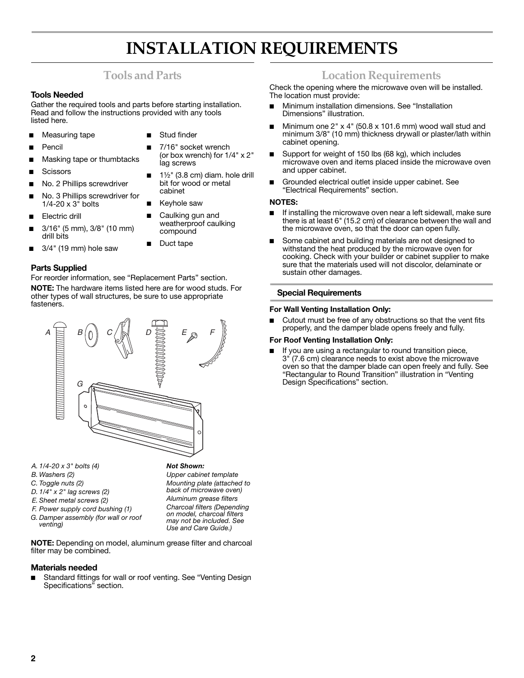## **INSTALLATION REQUIREMENTS**

### **Tools and Parts**

#### **Tools Needed**

Gather the required tools and parts before starting installation. Read and follow the instructions provided with any tools listed here.

- Measuring tape
- 

- **Pencil**
- Masking tape or thumbtacks
- **Scissors**
- No. 2 Phillips screwdriver
- No. 3 Phillips screwdriver for  $1/4 - 20 \times 3$ <sup>"</sup> bolts
- Electric drill
- 3/16" (5 mm), 3/8" (10 mm) drill bits
- 3/4" (19 mm) hole saw

#### **Parts Supplied**

For reorder information, see "Replacement Parts" section. **NOTE:** The hardware items listed here are for wood studs. For other types of wall structures, be sure to use appropriate fasteners.



- *A. 1/4-20 x 3" bolts (4)*
- *B. Washers (2)*
- *C. Toggle nuts (2)*
- *D. 1/4" x 2" lag screws (2)*
- *E. Sheet metal screws (2)*
- *F. Power supply cord bushing (1)*
- *G. Damper assembly (for wall or roof venting)*

**NOTE:** Depending on model, aluminum grease filter and charcoal filter may be combined.

#### **Materials needed**

Standard fittings for wall or roof venting. See "Venting Design Specifications" section.

- **Stud finder**
- 7/16" socket wrench (or box wrench) for 1/4" x 2" lag screws
- $1\frac{1}{2}$ " (3.8 cm) diam. hole drill bit for wood or metal cabinet
- Keyhole saw
- Caulking gun and weatherproof caulking compound

*Not Shown:*

*Upper cabinet template Mounting plate (attached to back of microwave oven) Aluminum grease filters Charcoal filters (Depending on model, charcoal filters may not be included. See Use and Care Guide.)*

Duct tape

### **Location Requirements**

Check the opening where the microwave oven will be installed. The location must provide:

- Minimum installation dimensions. See "Installation Dimensions" illustration.
- Minimum one  $2" x 4" (50.8 x 101.6 mm)$  wood wall stud and minimum 3/8" (10 mm) thickness drywall or plaster/lath within cabinet opening.
- Support for weight of 150 lbs (68 kg), which includes microwave oven and items placed inside the microwave oven and upper cabinet.
- Grounded electrical outlet inside upper cabinet. See "Electrical Requirements" section.

#### **NOTES:**

- If installing the microwave oven near a left sidewall, make sure there is at least 6" (15.2 cm) of clearance between the wall and the microwave oven, so that the door can open fully.
- Some cabinet and building materials are not designed to withstand the heat produced by the microwave oven for cooking. Check with your builder or cabinet supplier to make sure that the materials used will not discolor, delaminate or sustain other damages.

#### **Special Requirements**

#### **For Wall Venting Installation Only:**

Cutout must be free of any obstructions so that the vent fits properly, and the damper blade opens freely and fully.

#### **For Roof Venting Installation Only:**

■ If you are using a rectangular to round transition piece, 3" (7.6 cm) clearance needs to exist above the microwave oven so that the damper blade can open freely and fully. See "Rectangular to Round Transition" illustration in "Venting Design Specifications" section.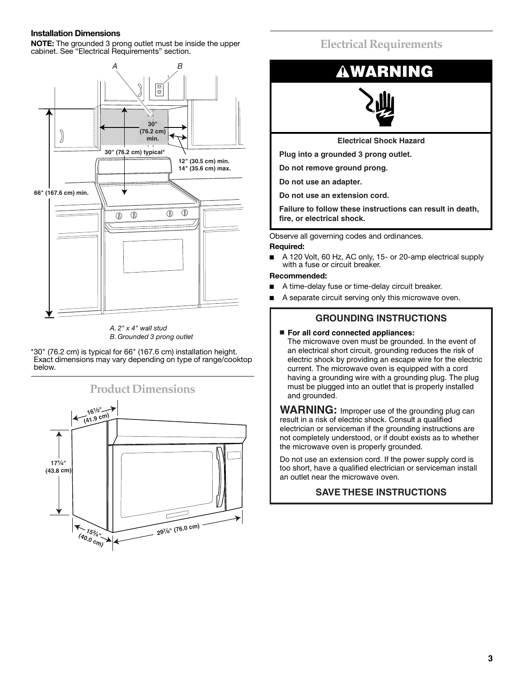#### **Installation Dimensions**

**NOTE:** The grounded 3 prong outlet must be inside the upper cabinet. See "Electrical Requirements" section.





\*30" (76.2 cm) is typical for 66" (167.6 cm) installation height. Exact dimensions may vary depending on type of range/cooktop below.



### **Electrical Requirements**



**Electrical Shock Hazard**

**Plug into a grounded 3 prong outlet.**

**Do not remove ground prong.**

**Do not use an adapter.**

**Do not use an extension cord.**

**Failure to follow these instructions can result in death, fire, or electrical shock.**

Observe all governing codes and ordinances.

#### **Required:**

A 120 Volt, 60 Hz, AC only, 15- or 20-amp electrical supply with a fuse or circuit breaker.

#### **Recommended:**

- A time-delay fuse or time-delay circuit breaker.
- A separate circuit serving only this microwave oven.

#### **GROUNDING INSTRUCTIONS**

■ **For all cord connected appliances:**

The microwave oven must be grounded. In the event of an electrical short circuit, grounding reduces the risk of electric shock by providing an escape wire for the electric current. The microwave oven is equipped with a cord having a grounding wire with a grounding plug. The plug must be plugged into an outlet that is properly installed and grounded.

**WARNING:** Improper use of the grounding plug can result in a risk of electric shock. Consult a qualified electrician or serviceman if the grounding instructions are not completely understood, or if doubt exists as to whether the microwave oven is properly grounded.

Do not use an extension cord. If the power supply cord is too short, have a qualified electrician or serviceman install an outlet near the microwave oven.

### **SAVE THESE INSTRUCTIONS**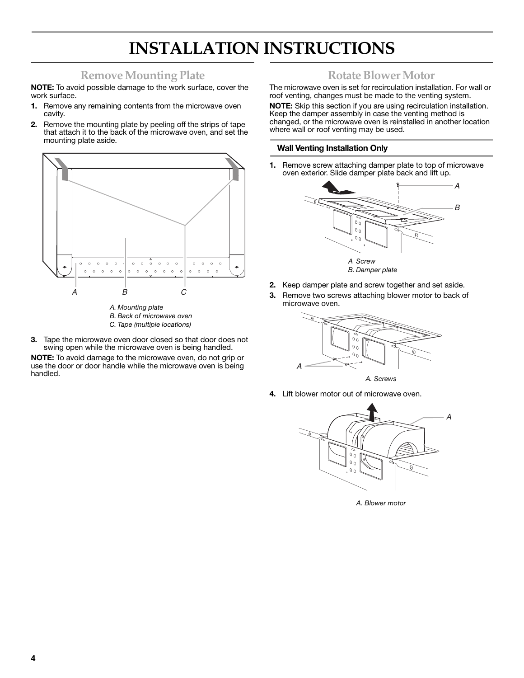# **INSTALLATION INSTRUCTIONS**

### **Remove Mounting Plate**

**NOTE:** To avoid possible damage to the work surface, cover the work surface.

- **1.** Remove any remaining contents from the microwave oven cavity.
- **2.** Remove the mounting plate by peeling off the strips of tape that attach it to the back of the microwave oven, and set the mounting plate aside.



- *B. Back of microwave oven*
- *C. Tape (multiple locations)*
- **3.** Tape the microwave oven door closed so that door does not swing open while the microwave oven is being handled.

**NOTE:** To avoid damage to the microwave oven, do not grip or use the door or door handle while the microwave oven is being handled.

### **Rotate Blower Motor**

The microwave oven is set for recirculation installation. For wall or roof venting, changes must be made to the venting system.

**NOTE:** Skip this section if you are using recirculation installation. Keep the damper assembly in case the venting method is changed, or the microwave oven is reinstalled in another location where wall or roof venting may be used.

#### **Wall Venting Installation Only**

**1.** Remove screw attaching damper plate to top of microwave oven exterior. Slide damper plate back and lift up.



- **2.** Keep damper plate and screw together and set aside.
- **3.** Remove two screws attaching blower motor to back of microwave oven.



**4.** Lift blower motor out of microwave oven.



*A. Blower motor*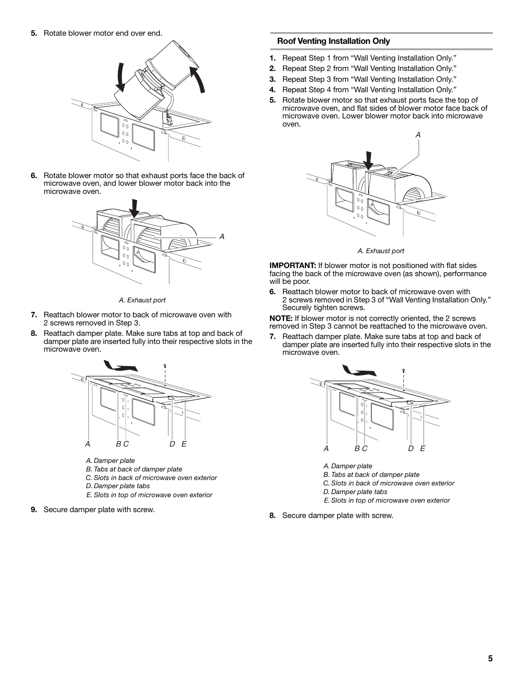**5.** Rotate blower motor end over end.



**6.** Rotate blower motor so that exhaust ports face the back of microwave oven, and lower blower motor back into the microwave oven.



*A. Exhaust port*

- **7.** Reattach blower motor to back of microwave oven with 2 screws removed in Step 3.
- **8.** Reattach damper plate. Make sure tabs at top and back of damper plate are inserted fully into their respective slots in the microwave oven.



- *A. Damper plate*
- *B. Tabs at back of damper plate*
- *C. Slots in back of microwave oven exterior*
- *D. Damper plate tabs*
- *E. Slots in top of microwave oven exterior*
- **9.** Secure damper plate with screw.

#### **Roof Venting Installation Only**

- **1.** Repeat Step 1 from "Wall Venting Installation Only."
- **2.** Repeat Step 2 from "Wall Venting Installation Only."
- **3.** Repeat Step 3 from "Wall Venting Installation Only."
- **4.** Repeat Step 4 from "Wall Venting Installation Only."
- **5.** Rotate blower motor so that exhaust ports face the top of microwave oven, and flat sides of blower motor face back of microwave oven. Lower blower motor back into microwave oven.



*A. Exhaust port*

**IMPORTANT:** If blower motor is not positioned with flat sides facing the back of the microwave oven (as shown), performance will be poor.

**6.** Reattach blower motor to back of microwave oven with 2 screws removed in Step 3 of "Wall Venting Installation Only." Securely tighten screws.

**NOTE:** If blower motor is not correctly oriented, the 2 screws removed in Step 3 cannot be reattached to the microwave oven.

**7.** Reattach damper plate. Make sure tabs at top and back of damper plate are inserted fully into their respective slots in the microwave oven.



- *A. Damper plate*
- *B. Tabs at back of damper plate*
- *C. Slots in back of microwave oven exterior*
- *D. Damper plate tabs*
- *E. Slots in top of microwave oven exterior*
- **8.** Secure damper plate with screw.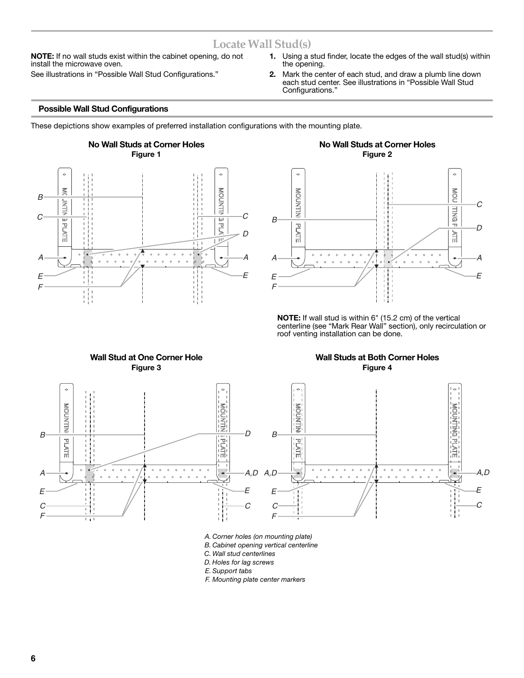### **Locate Wall Stud(s)**

**NOTE:** If no wall studs exist within the cabinet opening, do not install the microwave oven.

See illustrations in "Possible Wall Stud Configurations."

- **1.** Using a stud finder, locate the edges of the wall stud(s) within the opening.
- **2.** Mark the center of each stud, and draw a plumb line down each stud center. See illustrations in "Possible Wall Stud Configurations."

#### **Possible Wall Stud Configurations**

These depictions show examples of preferred installation configurations with the mounting plate.



#### **No Wall Studs at Corner Holes Figure 2**



**NOTE:** If wall stud is within 6" (15.2 cm) of the vertical centerline (see "Mark Rear Wall" section), only recirculation or roof venting installation can be done.



*A. Corner holes (on mounting plate)*

*B. Cabinet opening vertical centerline*

*C. Wall stud centerlines*

*D. Holes for lag screws*

*E. Support tabs*

*F. Mounting plate center markers*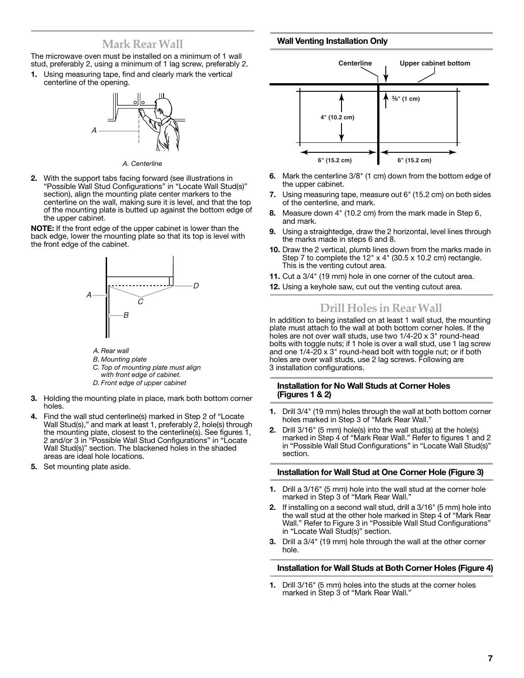### **Mark Rear Wall**

#### **Wall Venting Installation Only**

The microwave oven must be installed on a minimum of 1 wall stud, preferably 2, using a minimum of 1 lag screw, preferably 2. **1.** Using measuring tape, find and clearly mark the vertical

centerline of the opening.



*A. Centerline*

**2.** With the support tabs facing forward (see illustrations in "Possible Wall Stud Configurations" in "Locate Wall Stud(s)" section), align the mounting plate center markers to the centerline on the wall, making sure it is level, and that the top of the mounting plate is butted up against the bottom edge of the upper cabinet.

**NOTE:** If the front edge of the upper cabinet is lower than the back edge, lower the mounting plate so that its top is level with the front edge of the cabinet.



*A. Rear wall*

- *B. Mounting plate*
- *C. Top of mounting plate must align*
- *with front edge of cabinet.*
- *D. Front edge of upper cabinet*
- **3.** Holding the mounting plate in place, mark both bottom corner holes.
- **4.** Find the wall stud centerline(s) marked in Step 2 of "Locate Wall Stud(s)," and mark at least 1, preferably 2, hole(s) through the mounting plate, closest to the centerline(s). See figures 1, 2 and/or 3 in "Possible Wall Stud Configurations" in "Locate Wall Stud(s)" section. The blackened holes in the shaded areas are ideal hole locations.
- **5.** Set mounting plate aside.



- **6.** Mark the centerline 3/8" (1 cm) down from the bottom edge of the upper cabinet.
- **7.** Using measuring tape, measure out 6" (15.2 cm) on both sides of the centerline, and mark.
- **8.** Measure down 4" (10.2 cm) from the mark made in Step 6, and mark.
- **9.** Using a straightedge, draw the 2 horizontal, level lines through the marks made in steps 6 and 8.
- **10.** Draw the 2 vertical, plumb lines down from the marks made in Step 7 to complete the 12" x 4" (30.5 x 10.2 cm) rectangle. This is the venting cutout area.
- **11.** Cut a 3/4" (19 mm) hole in one corner of the cutout area.
- **12.** Using a keyhole saw, cut out the venting cutout area.

### **Drill Holes in Rear Wall**

In addition to being installed on at least 1 wall stud, the mounting plate must attach to the wall at both bottom corner holes. If the holes are not over wall studs, use two 1/4-20 x 3" round-head bolts with toggle nuts; if 1 hole is over a wall stud, use 1 lag screw and one 1/4-20 x 3" round-head bolt with toggle nut; or if both holes are over wall studs, use 2 lag screws. Following are 3 installation configurations.

#### **Installation for No Wall Studs at Corner Holes (Figures 1 & 2)**

- **1.** Drill 3/4" (19 mm) holes through the wall at both bottom corner holes marked in Step 3 of "Mark Rear Wall."
- **2.** Drill 3/16" (5 mm) hole(s) into the wall stud(s) at the hole(s) marked in Step 4 of "Mark Rear Wall." Refer to figures 1 and 2 in "Possible Wall Stud Configurations" in "Locate Wall Stud(s)" section.

#### **Installation for Wall Stud at One Corner Hole (Figure 3)**

- **1.** Drill a 3/16" (5 mm) hole into the wall stud at the corner hole marked in Step 3 of "Mark Rear Wall."
- **2.** If installing on a second wall stud, drill a 3/16" (5 mm) hole into the wall stud at the other hole marked in Step 4 of "Mark Rear Wall." Refer to Figure 3 in "Possible Wall Stud Configurations" in "Locate Wall Stud(s)" section.
- **3.** Drill a 3/4" (19 mm) hole through the wall at the other corner hole.

#### **Installation for Wall Studs at Both Corner Holes (Figure 4)**

**1.** Drill 3/16" (5 mm) holes into the studs at the corner holes marked in Step 3 of "Mark Rear Wall."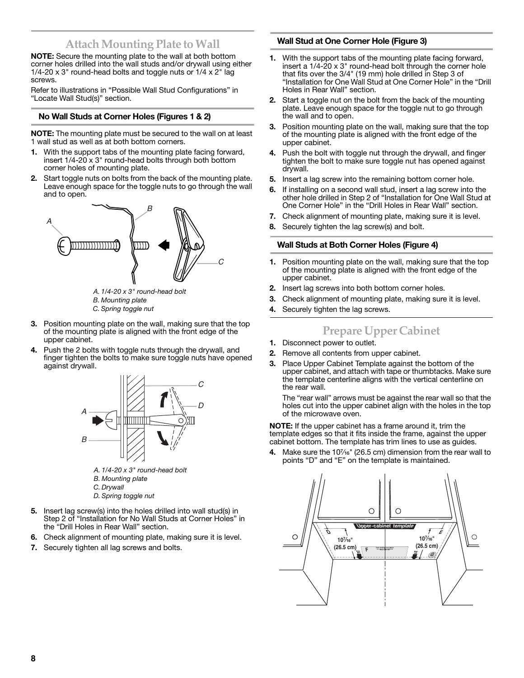### **Attach Mounting Plate to Wall**

**NOTE:** Secure the mounting plate to the wall at both bottom corner holes drilled into the wall studs and/or drywall using either 1/4-20 x 3" round-head bolts and toggle nuts or 1/4 x 2" lag screws.

Refer to illustrations in "Possible Wall Stud Configurations" in "Locate Wall Stud(s)" section.

#### **No Wall Studs at Corner Holes (Figures 1 & 2)**

**NOTE:** The mounting plate must be secured to the wall on at least 1 wall stud as well as at both bottom corners.

- **1.** With the support tabs of the mounting plate facing forward, insert 1/4-20 x 3" round-head bolts through both bottom corner holes of mounting plate.
- **2.** Start toggle nuts on bolts from the back of the mounting plate. Leave enough space for the toggle nuts to go through the wall and to open.



*A. 1/4-20 x 3" round-head bolt B. Mounting plate*

- *C. Spring toggle nut*
- **3.** Position mounting plate on the wall, making sure that the top of the mounting plate is aligned with the front edge of the upper cabinet.
- **4.** Push the 2 bolts with toggle nuts through the drywall, and finger tighten the bolts to make sure toggle nuts have opened against drywall.



- *A. 1/4-20 x 3" round-head bolt*
- *B. Mounting plate*
- *C. Drywall*
- *D. Spring toggle nut*
- **5.** Insert lag screw(s) into the holes drilled into wall stud(s) in Step 2 of "Installation for No Wall Studs at Corner Holes" in the "Drill Holes in Rear Wall" section.
- **6.** Check alignment of mounting plate, making sure it is level.
- **7.** Securely tighten all lag screws and bolts.

#### **Wall Stud at One Corner Hole (Figure 3)**

- **1.** With the support tabs of the mounting plate facing forward, insert a 1/4-20 x 3" round-head bolt through the corner hole that fits over the 3/4" (19 mm) hole drilled in Step 3 of "Installation for One Wall Stud at One Corner Hole" in the "Drill Holes in Rear Wall" section.
- **2.** Start a toggle nut on the bolt from the back of the mounting plate. Leave enough space for the toggle nut to go through the wall and to open.
- **3.** Position mounting plate on the wall, making sure that the top of the mounting plate is aligned with the front edge of the upper cabinet.
- **4.** Push the bolt with toggle nut through the drywall, and finger tighten the bolt to make sure toggle nut has opened against drywall.
- **5.** Insert a lag screw into the remaining bottom corner hole.
- **6.** If installing on a second wall stud, insert a lag screw into the other hole drilled in Step 2 of "Installation for One Wall Stud at One Corner Hole" in the "Drill Holes in Rear Wall" section.
- **7.** Check alignment of mounting plate, making sure it is level.
- **8.** Securely tighten the lag screw(s) and bolt.

#### **Wall Studs at Both Corner Holes (Figure 4)**

- **1.** Position mounting plate on the wall, making sure that the top of the mounting plate is aligned with the front edge of the upper cabinet.
- **2.** Insert lag screws into both bottom corner holes.
- **3.** Check alignment of mounting plate, making sure it is level.
- **4.** Securely tighten the lag screws.

## **Prepare Upper Cabinet**

- **1.** Disconnect power to outlet.
- **2.** Remove all contents from upper cabinet.
- **3.** Place Upper Cabinet Template against the bottom of the upper cabinet, and attach with tape or thumbtacks. Make sure the template centerline aligns with the vertical centerline on the rear wall.

The "rear wall" arrows must be against the rear wall so that the holes cut into the upper cabinet align with the holes in the top of the microwave oven.

**NOTE:** If the upper cabinet has a frame around it, trim the template edges so that it fits inside the frame, against the upper cabinet bottom. The template has trim lines to use as guides.

4. Make sure the 10<sup>7</sup>/<sub>16</sub>" (26.5 cm) dimension from the rear wall to points "D" and "E" on the template is maintained.

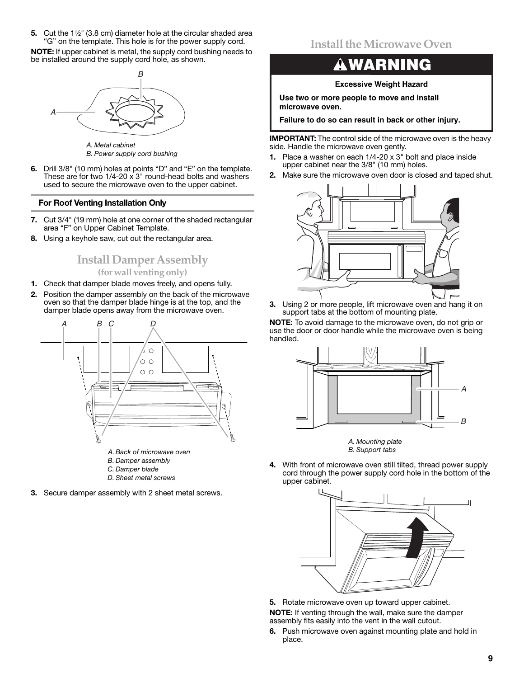**5.** Cut the 1<sup>1</sup>/<sub>2</sub>" (3.8 cm) diameter hole at the circular shaded area "G" on the template. This hole is for the power supply cord.

**NOTE:** If upper cabinet is metal, the supply cord bushing needs to be installed around the supply cord hole, as shown.



*B. Power supply cord bushing*

**6.** Drill 3/8" (10 mm) holes at points "D" and "E" on the template. These are for two  $1/4$ -20 x 3" round-head bolts and washers used to secure the microwave oven to the upper cabinet.

#### **For Roof Venting Installation Only**

- **7.** Cut 3/4" (19 mm) hole at one corner of the shaded rectangular area "F" on Upper Cabinet Template.
- **8.** Using a keyhole saw, cut out the rectangular area.

### **Install Damper Assembly (for wall venting only)**

- **1.** Check that damper blade moves freely, and opens fully.
- **2.** Position the damper assembly on the back of the microwave oven so that the damper blade hinge is at the top, and the damper blade opens away from the microwave oven.



- 
- *C. Damper blade D. Sheet metal screws*
- **3.** Secure damper assembly with 2 sheet metal screws.

### **Install the Microwave Oven**

## **WARNING**

#### **Excessive Weight Hazard**

**Use two or more people to move and install microwave oven.**

**Failure to do so can result in back or other injury.**

**IMPORTANT:** The control side of the microwave oven is the heavy side. Handle the microwave oven gently.

- **1.** Place a washer on each 1/4-20 x 3" bolt and place inside upper cabinet near the 3/8" (10 mm) holes.
- **2.** Make sure the microwave oven door is closed and taped shut.



**3.** Using 2 or more people, lift microwave oven and hang it on support tabs at the bottom of mounting plate.

**NOTE:** To avoid damage to the microwave oven, do not grip or use the door or door handle while the microwave oven is being handled.





**4.** With front of microwave oven still tilted, thread power supply cord through the power supply cord hole in the bottom of the upper cabinet.



**5.** Rotate microwave oven up toward upper cabinet. **NOTE:** If venting through the wall, make sure the damper assembly fits easily into the vent in the wall cutout.

**6.** Push microwave oven against mounting plate and hold in place.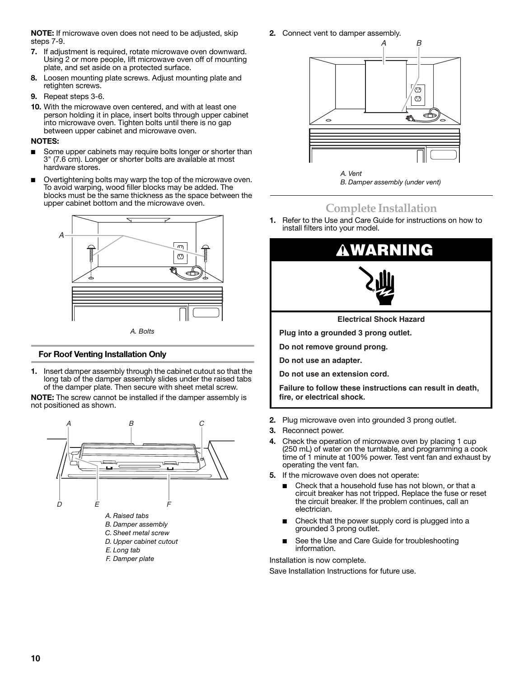**NOTE:** If microwave oven does not need to be adjusted, skip steps 7-9.

- **7.** If adjustment is required, rotate microwave oven downward. Using 2 or more people, lift microwave oven off of mounting plate, and set aside on a protected surface.
- **8.** Loosen mounting plate screws. Adjust mounting plate and retighten screws.
- **9.** Repeat steps 3-6.
- **10.** With the microwave oven centered, and with at least one person holding it in place, insert bolts through upper cabinet into microwave oven. Tighten bolts until there is no gap between upper cabinet and microwave oven.

#### **NOTES:**

- Some upper cabinets may require bolts longer or shorter than 3" (7.6 cm). Longer or shorter bolts are available at most hardware stores.
- Overtightening bolts may warp the top of the microwave oven. To avoid warping, wood filler blocks may be added. The blocks must be the same thickness as the space between the upper cabinet bottom and the microwave oven.



#### **For Roof Venting Installation Only**

**1.** Insert damper assembly through the cabinet cutout so that the long tab of the damper assembly slides under the raised tabs of the damper plate. Then secure with sheet metal screw.

**NOTE:** The screw cannot be installed if the damper assembly is not positioned as shown.



**2.** Connect vent to damper assembly.



*B. Damper assembly (under vent)*

## **Complete Installation**

**1.** Refer to the Use and Care Guide for instructions on how to install filters into your model.



**Do not remove ground prong.**

**Do not use an adapter.**

**Do not use an extension cord.**

**Failure to follow these instructions can result in death, fire, or electrical shock.**

- **2.** Plug microwave oven into grounded 3 prong outlet.
- **3.** Reconnect power.
- **4.** Check the operation of microwave oven by placing 1 cup (250 mL) of water on the turntable, and programming a cook time of 1 minute at 100% power. Test vent fan and exhaust by operating the vent fan.
- **5.** If the microwave oven does not operate:
	- Check that a household fuse has not blown, or that a circuit breaker has not tripped. Replace the fuse or reset the circuit breaker. If the problem continues, call an electrician.
	- Check that the power supply cord is plugged into a grounded 3 prong outlet.
	- See the Use and Care Guide for troubleshooting information.

Installation is now complete.

Save Installation Instructions for future use.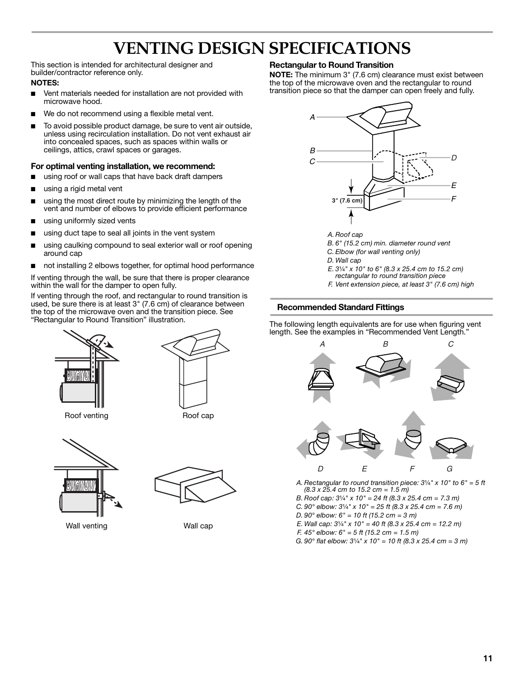## **VENTING DESIGN SPECIFICATIONS**

This section is intended for architectural designer and builder/contractor reference only.

#### **NOTES:**

- Vent materials needed for installation are not provided with microwave hood.
- We do not recommend using a flexible metal vent.
- To avoid possible product damage, be sure to vent air outside, unless using recirculation installation. Do not vent exhaust air into concealed spaces, such as spaces within walls or ceilings, attics, crawl spaces or garages.

#### **For optimal venting installation, we recommend:**

- using roof or wall caps that have back draft dampers
- using a rigid metal vent
- using the most direct route by minimizing the length of the vent and number of elbows to provide efficient performance
- using uniformly sized vents
- using duct tape to seal all joints in the vent system
- using caulking compound to seal exterior wall or roof opening around cap
- not installing 2 elbows together, for optimal hood performance

If venting through the wall, be sure that there is proper clearance within the wall for the damper to open fully.

If venting through the roof, and rectangular to round transition is used, be sure there is at least 3" (7.6 cm) of clearance between the top of the microwave oven and the transition piece. See "Rectangular to Round Transition" illustration.





Roof venting **Roof** cap



Wall venting **Wall cap** 



#### **Rectangular to Round Transition**

**NOTE:** The minimum 3" (7.6 cm) clearance must exist between the top of the microwave oven and the rectangular to round transition piece so that the damper can open freely and fully.



*A. Roof cap*

- *B. 6" (15.2 cm) min. diameter round vent*
- *C. Elbow (for wall venting only)*
- *D. Wall cap*
- *E.* 31/<sub>4</sub><sup>*"*</sup> *x* 10<sup>*"*</sup> *to* 6<sup>*"*</sup> (8.3 *x* 25.4 *cm to* 15.2 *cm*)
- *rectangular to round transition piece*
- *F. Vent extension piece, at least 3" (7.6 cm) high*

#### **Recommended Standard Fittings**

The following length equivalents are for use when figuring vent length. See the examples in "Recommended Vent Length."



- *A. Rectangular to round transition piece: 3*¹⁄₄*" x 10" to 6" = 5 ft (8.3 x 25.4 cm to 15.2 cm = 1.5 m)*
- *B. Roof cap: 3*¹⁄₄*" x 10" = 24 ft (8.3 x 25.4 cm = 7.3 m)*
- *C.* 90° elbow:  $3\frac{1}{4}$  *x* 10" = 25 ft (8.3 x 25.4 cm = 7.6 m)
- *D. 90° elbow: 6" = 10 ft (15.2 cm = 3 m)*
- *E. Wall cap: 3<sup>1</sup>/<sub>4</sub><sup><i>"*</sup> *x 10<sup><i>"*</sup> = 40 ft (8.3 *x 25.4 cm = 12.2 m)*
- *F. 45° elbow: 6" = 5 ft (15.2 cm = 1.5 m)*
- *G.* 90° flat elbow:  $3\frac{1}{4}$  *x* 10" = 10 ft (8.3 x 25.4 cm = 3 m)